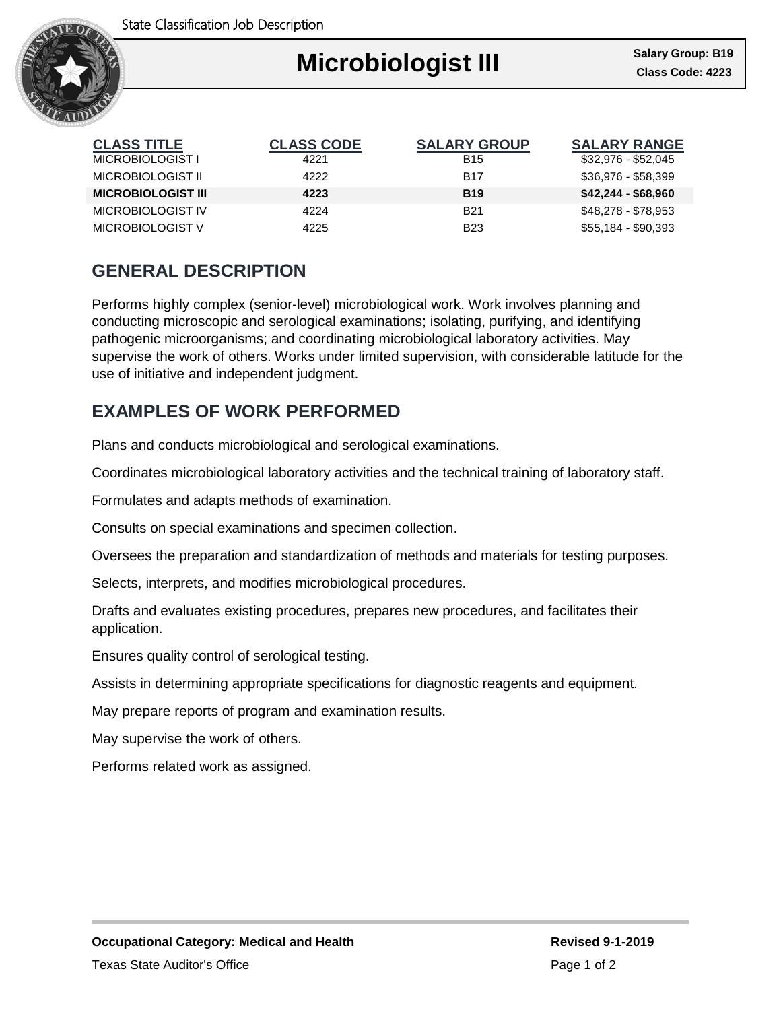State Classification Job Description



| <b>CLASS TITLE</b>        | <b>CLASS CODE</b> | <b>SALARY GROUP</b> | <b>SALARY RANGE</b> |
|---------------------------|-------------------|---------------------|---------------------|
| MICROBIOLOGIST I          | 4221              | <b>B15</b>          | \$32,976 - \$52,045 |
| MICROBIOLOGIST II         | 4222              | <b>B17</b>          | \$36,976 - \$58,399 |
| <b>MICROBIOLOGIST III</b> | 4223              | <b>B19</b>          | $$42,244 - $68,960$ |
| MICROBIOLOGIST IV         | 4224              | <b>B21</b>          | \$48,278 - \$78,953 |
| MICROBIOLOGIST V          | 4225              | <b>B23</b>          | \$55,184 - \$90,393 |

## **GENERAL DESCRIPTION**

Performs highly complex (senior-level) microbiological work. Work involves planning and conducting microscopic and serological examinations; isolating, purifying, and identifying pathogenic microorganisms; and coordinating microbiological laboratory activities. May supervise the work of others. Works under limited supervision, with considerable latitude for the use of initiative and independent judgment.

## **EXAMPLES OF WORK PERFORMED**

Plans and conducts microbiological and serological examinations.

Coordinates microbiological laboratory activities and the technical training of laboratory staff.

Formulates and adapts methods of examination.

Consults on special examinations and specimen collection.

Oversees the preparation and standardization of methods and materials for testing purposes.

Selects, interprets, and modifies microbiological procedures.

Drafts and evaluates existing procedures, prepares new procedures, and facilitates their application.

Ensures quality control of serological testing.

Assists in determining appropriate specifications for diagnostic reagents and equipment.

May prepare reports of program and examination results.

May supervise the work of others.

Performs related work as assigned.